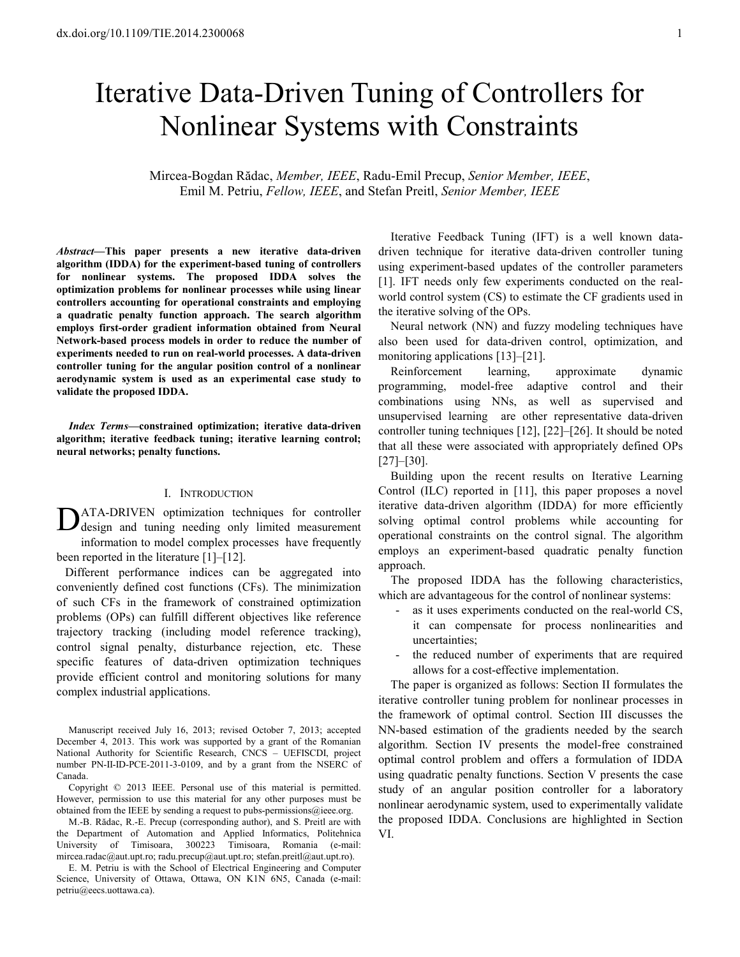# Iterative Data-Driven Tuning of Controllers for Nonlinear Systems with Constraints

Mircea-Bogdan Rădac, *Member, IEEE*, Radu-Emil Precup, *Senior Member, IEEE*, Emil M. Petriu, *Fellow, IEEE*, and Stefan Preitl, *Senior Member, IEEE*

*Abstract***—This paper presents a new iterative data-driven algorithm (IDDA) for the experiment-based tuning of controllers for nonlinear systems. The proposed IDDA solves the optimization problems for nonlinear processes while using linear controllers accounting for operational constraints and employing a quadratic penalty function approach. The search algorithm employs first-order gradient information obtained from Neural Network-based process models in order to reduce the number of experiments needed to run on real-world processes. A data-driven controller tuning for the angular position control of a nonlinear aerodynamic system is used as an experimental case study to validate the proposed IDDA.** 

*Index Terms***—constrained optimization; iterative data-driven algorithm; iterative feedback tuning; iterative learning control; neural networks; penalty functions.** 

#### I. INTRODUCTION

ATA-DRIVEN optimization techniques for controller DATA-DRIVEN optimization techniques for controller design and tuning needing only limited measurement information to model complex processes have frequently been reported in the literature [1]–[12].

Different performance indices can be aggregated into conveniently defined cost functions (CFs). The minimization of such CFs in the framework of constrained optimization problems (OPs) can fulfill different objectives like reference trajectory tracking (including model reference tracking), control signal penalty, disturbance rejection, etc. These specific features of data-driven optimization techniques provide efficient control and monitoring solutions for many complex industrial applications.

Manuscript received July 16, 2013; revised October 7, 2013; accepted December 4, 2013. This work was supported by a grant of the Romanian National Authority for Scientific Research, CNCS – UEFISCDI, project number PN-II-ID-PCE-2011-3-0109, and by a grant from the NSERC of Canada.

Copyright © 2013 IEEE. Personal use of this material is permitted. However, permission to use this material for any other purposes must be obtained from the IEEE by sending a request to pubs-permissions@ieee.org.

M.-B. Rădac, R.-E. Precup (corresponding author), and S. Preitl are with the Department of Automation and Applied Informatics, Politehnica University of Timisoara, 300223 Timisoara, Romania (e-mail: mircea.radac@aut.upt.ro; radu.precup@aut.upt.ro; stefan.preitl@aut.upt.ro).

E. M. Petriu is with the School of Electrical Engineering and Computer Science, University of Ottawa, Ottawa, ON K1N 6N5, Canada (e-mail: petriu@eecs.uottawa.ca).

Iterative Feedback Tuning (IFT) is a well known datadriven technique for iterative data-driven controller tuning using experiment-based updates of the controller parameters [1]. IFT needs only few experiments conducted on the realworld control system (CS) to estimate the CF gradients used in the iterative solving of the OPs.

Neural network (NN) and fuzzy modeling techniques have also been used for data-driven control, optimization, and monitoring applications [13]–[21].

Reinforcement learning, approximate dynamic programming, model-free adaptive control and their combinations using NNs, as well as supervised and unsupervised learning are other representative data-driven controller tuning techniques [12], [22]–[26]. It should be noted that all these were associated with appropriately defined OPs [27]–[30].

Building upon the recent results on Iterative Learning Control (ILC) reported in [11], this paper proposes a novel iterative data-driven algorithm (IDDA) for more efficiently solving optimal control problems while accounting for operational constraints on the control signal. The algorithm employs an experiment-based quadratic penalty function approach.

The proposed IDDA has the following characteristics, which are advantageous for the control of nonlinear systems:

- as it uses experiments conducted on the real-world CS, it can compensate for process nonlinearities and uncertainties;
- the reduced number of experiments that are required allows for a cost-effective implementation.

The paper is organized as follows: Section II formulates the iterative controller tuning problem for nonlinear processes in the framework of optimal control. Section III discusses the NN-based estimation of the gradients needed by the search algorithm. Section IV presents the model-free constrained optimal control problem and offers a formulation of IDDA using quadratic penalty functions. Section V presents the case study of an angular position controller for a laboratory nonlinear aerodynamic system, used to experimentally validate the proposed IDDA. Conclusions are highlighted in Section VI.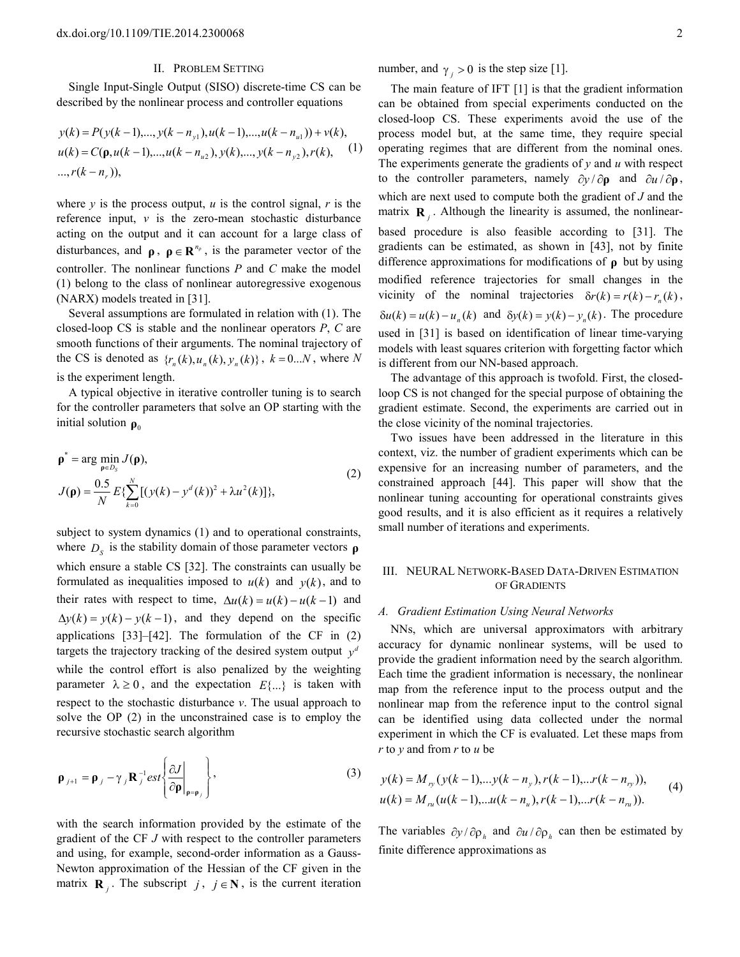## II. PROBLEM SETTING

Single Input-Single Output (SISO) discrete-time CS can be described by the nonlinear process and controller equations

$$
y(k) = P(y(k-1),...,y(k-n_{y1}),u(k-1),...,u(k-n_{u1})) + v(k),
$$
  
\n
$$
u(k) = C(\mathbf{p}, u(k-1),...,u(k-n_{u2}), y(k),...,y(k-n_{y2}), r(k),
$$
  
\n
$$
..., r(k-n_{y}),
$$
  
\n(1)

where  $\nu$  is the process output,  $\mu$  is the control signal,  $r$  is the reference input, *v* is the zero-mean stochastic disturbance acting on the output and it can account for a large class of disturbances, and  $\rho$ ,  $\rho \in \mathbb{R}^{n_{\rho}}$ , is the parameter vector of the controller. The nonlinear functions *P* and *C* make the model (1) belong to the class of nonlinear autoregressive exogenous (NARX) models treated in [31].

Several assumptions are formulated in relation with (1). The closed-loop CS is stable and the nonlinear operators *P*, *C* are smooth functions of their arguments. The nominal trajectory of the CS is denoted as  $\{r_n(k), u_n(k), y_n(k)\}\,$ ,  $k = 0...N$ , where N is the experiment length.

A typical objective in iterative controller tuning is to search for the controller parameters that solve an OP starting with the initial solution  $\rho_0$ 

$$
\rho^* = \arg \min_{\rho \in D_S} J(\rho),
$$
  
\n
$$
J(\rho) = \frac{0.5}{N} E\{\sum_{k=0}^{N} [(y(k) - y^d(k))^2 + \lambda u^2(k)]\},
$$
\n(2)

subject to system dynamics (1) and to operational constraints, where  $D<sub>S</sub>$  is the stability domain of those parameter vectors  $\rho$ which ensure a stable CS [32]. The constraints can usually be formulated as inequalities imposed to  $u(k)$  and  $y(k)$ , and to their rates with respect to time,  $\Delta u(k) = u(k) - u(k-1)$  and  $\Delta y(k) = y(k) - y(k-1)$ , and they depend on the specific applications [33]–[42]. The formulation of the CF in (2) targets the trajectory tracking of the desired system output  $y^d$ while the control effort is also penalized by the weighting parameter  $\lambda \geq 0$ , and the expectation  $E\{\ldots\}$  is taken with respect to the stochastic disturbance *v*. The usual approach to solve the OP (2) in the unconstrained case is to employ the recursive stochastic search algorithm

$$
\mathbf{\rho}_{j+1} = \mathbf{\rho}_j - \gamma_j \mathbf{R}_j^{-1} \text{est}\left\{\frac{\partial J}{\partial \mathbf{\rho}}\bigg|_{\mathbf{\rho} = \mathbf{\rho}_j}\right\},\tag{3}
$$

with the search information provided by the estimate of the gradient of the CF *J* with respect to the controller parameters and using, for example, second-order information as a Gauss-Newton approximation of the Hessian of the CF given in the matrix **R**<sub>*j*</sub>. The subscript *j*, *j* ∈ **N**, is the current iteration number, and  $\gamma_j > 0$  is the step size [1].

The main feature of IFT [1] is that the gradient information can be obtained from special experiments conducted on the closed-loop CS. These experiments avoid the use of the process model but, at the same time, they require special operating regimes that are different from the nominal ones. The experiments generate the gradients of *y* and *u* with respect to the controller parameters, namely ∂*y* / ∂**ρ** and ∂*u* / ∂**ρ** , which are next used to compute both the gradient of *J* and the matrix  $\mathbf{R}_j$ . Although the linearity is assumed, the nonlinearbased procedure is also feasible according to [31]. The gradients can be estimated, as shown in [43], not by finite difference approximations for modifications of **ρ** but by using modified reference trajectories for small changes in the vicinity of the nominal trajectories  $\delta r(k) = r(k) - r_n(k)$ ,  $\delta u(k) = u(k) - u_n(k)$  and  $\delta y(k) = y(k) - y_n(k)$ . The procedure used in [31] is based on identification of linear time-varying models with least squares criterion with forgetting factor which is different from our NN-based approach.

The advantage of this approach is twofold. First, the closedloop CS is not changed for the special purpose of obtaining the gradient estimate. Second, the experiments are carried out in the close vicinity of the nominal trajectories.

Two issues have been addressed in the literature in this context, viz. the number of gradient experiments which can be expensive for an increasing number of parameters, and the constrained approach [44]. This paper will show that the nonlinear tuning accounting for operational constraints gives good results, and it is also efficient as it requires a relatively small number of iterations and experiments.

# III. NEURAL NETWORK-BASED DATA-DRIVEN ESTIMATION OF GRADIENTS

### *A. Gradient Estimation Using Neural Networks*

NNs, which are universal approximators with arbitrary accuracy for dynamic nonlinear systems, will be used to provide the gradient information need by the search algorithm. Each time the gradient information is necessary, the nonlinear map from the reference input to the process output and the nonlinear map from the reference input to the control signal can be identified using data collected under the normal experiment in which the CF is evaluated. Let these maps from *r* to *y* and from *r* to *u* be

$$
y(k) = M_{ry}(y(k-1),...,y(k-n_y),r(k-1),...,r(k-n_y)),
$$
  
\n
$$
u(k) = M_{ru}(u(k-1),...u(k-n_u),r(k-1),...r(k-n_{ru})).
$$
\n(4)

The variables  $\partial y / \partial \rho_h$  and  $\partial u / \partial \rho_h$  can then be estimated by finite difference approximations as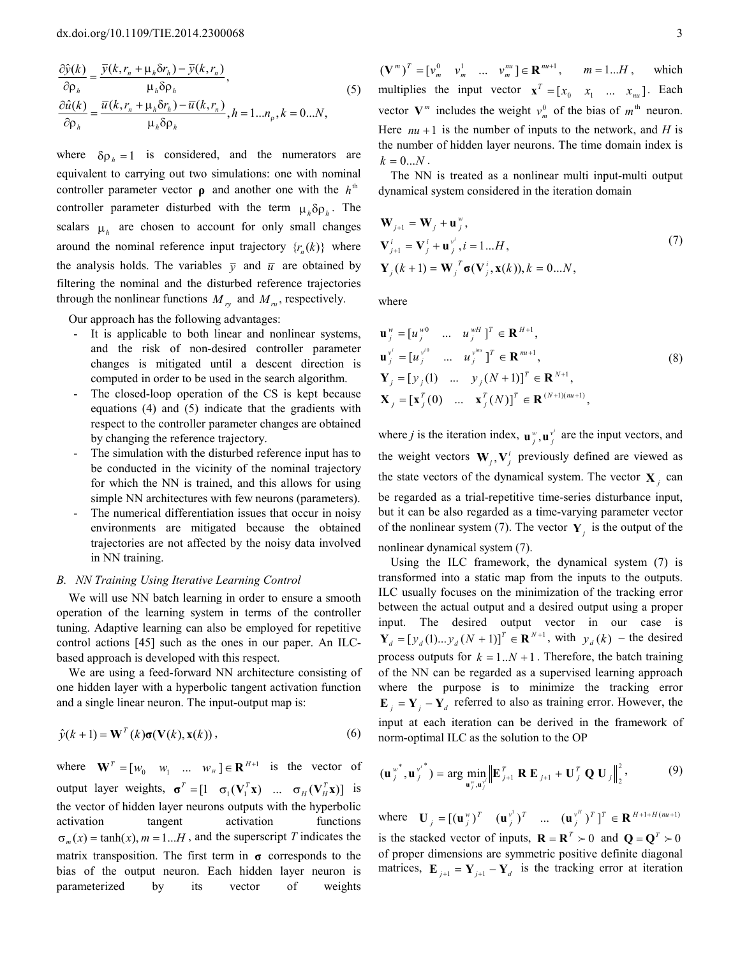$$
\frac{\partial \hat{y}(k)}{\partial \rho_h} = \frac{\overline{y}(k, r_n + \mu_h \delta r_h) - \overline{y}(k, r_n)}{\mu_h \delta \rho_h},
$$
\n
$$
\frac{\partial \hat{u}(k)}{\partial \rho_h} = \frac{\overline{u}(k, r_n + \mu_h \delta r_h) - \overline{u}(k, r_n)}{\mu_h \delta \rho_h}, h = 1...n_p, k = 0...N,
$$
\n(5)

where  $\delta \rho_h = 1$  is considered, and the numerators are equivalent to carrying out two simulations: one with nominal controller parameter vector  $\rho$  and another one with the  $h<sup>th</sup>$ controller parameter disturbed with the term  $\mu_h \delta \rho_h$ . The scalars  $\mu_h$  are chosen to account for only small changes around the nominal reference input trajectory  $\{r_n(k)\}\$  where the analysis holds. The variables  $\bar{y}$  and  $\bar{u}$  are obtained by filtering the nominal and the disturbed reference trajectories through the nonlinear functions  $M_{ry}$  and  $M_{ru}$ , respectively.

Our approach has the following advantages:

- It is applicable to both linear and nonlinear systems, and the risk of non-desired controller parameter changes is mitigated until a descent direction is computed in order to be used in the search algorithm.
- The closed-loop operation of the CS is kept because equations (4) and (5) indicate that the gradients with respect to the controller parameter changes are obtained by changing the reference trajectory.
- The simulation with the disturbed reference input has to be conducted in the vicinity of the nominal trajectory for which the NN is trained, and this allows for using simple NN architectures with few neurons (parameters).
- The numerical differentiation issues that occur in noisy environments are mitigated because the obtained trajectories are not affected by the noisy data involved in NN training.

### *B. NN Training Using Iterative Learning Control*

We will use NN batch learning in order to ensure a smooth operation of the learning system in terms of the controller tuning. Adaptive learning can also be employed for repetitive control actions [45] such as the ones in our paper. An ILCbased approach is developed with this respect.

We are using a feed-forward NN architecture consisting of one hidden layer with a hyperbolic tangent activation function and a single linear neuron. The input-output map is:

$$
\hat{y}(k+1) = \mathbf{W}^{T}(k)\sigma(\mathbf{V}(k), \mathbf{x}(k)),
$$
\n(6)

where  $\mathbf{W}^T = [w_0 \quad w_1 \quad \dots \quad w_n] \in \mathbf{R}^{H+1}$  is the vector of output layer weights,  $\boldsymbol{\sigma}^T = [1 \quad \sigma_1(\mathbf{V}_1^T \mathbf{x}) \quad ... \quad \sigma_H(\mathbf{V}_H^T \mathbf{x})]$  is the vector of hidden layer neurons outputs with the hyperbolic activation tangent activation functions  $\sigma_m(x) = \tanh(x)$ ,  $m = 1...H$ , and the superscript *T* indicates the matrix transposition. The first term in **σ** corresponds to the bias of the output neuron. Each hidden layer neuron is parameterized by its vector of weights

 $(\mathbf{V}^m)^T = [\mathbf{v}_m^0 \quad \mathbf{v}_m^1 \quad \dots \quad \mathbf{v}_m^m] \in \mathbf{R}^{m+1}, \qquad m = 1...H, \qquad \text{which}$ multiplies the input vector  $\mathbf{x}^T = [x_0 \ x_1 \ \dots \ x_m].$  Each vector  $V^m$  includes the weight  $v_m^0$  of the bias of  $m^{\text{th}}$  neuron. Here  $nu + 1$  is the number of inputs to the network, and *H* is the number of hidden layer neurons. The time domain index is  $k = 0...N$ .

The NN is treated as a nonlinear multi input-multi output dynamical system considered in the iteration domain

$$
\mathbf{W}_{j+1} = \mathbf{W}_{j} + \mathbf{u}_{j}^{w},
$$
\n
$$
\mathbf{V}_{j+1}^{i} = \mathbf{V}_{j}^{i} + \mathbf{u}_{j}^{v^{i}}, i = 1...H,
$$
\n
$$
\mathbf{Y}_{j}(k+1) = \mathbf{W}_{j}^{T} \boldsymbol{\sigma}(\mathbf{V}_{j}^{i}, \mathbf{x}(k)), k = 0...N,
$$
\n(7)

where

$$
\mathbf{u}_{j}^{w} = [u_{j}^{w0} \dots u_{j}^{wH}]^{T} \in \mathbf{R}^{H+1},
$$
  
\n
$$
\mathbf{u}_{j}^{v'} = [u_{j}^{v^{i0}} \dots u_{j}^{v^{im}}]^{T} \in \mathbf{R}^{m+1},
$$
  
\n
$$
\mathbf{Y}_{j} = [y_{j}(1) \dots y_{j}(N+1)]^{T} \in \mathbf{R}^{N+1},
$$
  
\n
$$
\mathbf{X}_{j} = [\mathbf{x}_{j}^{T}(0) \dots \mathbf{x}_{j}^{T}(N)]^{T} \in \mathbf{R}^{(N+1)(m+1)},
$$
\n(8)

where *j* is the iteration index,  $\mathbf{u}^{\mathbf{w}}_j$ ,  $\mathbf{u}^{\mathbf{v}^j}$  are the input vectors, and the weight vectors  $W_j$ ,  $V_j^i$  previously defined are viewed as the state vectors of the dynamical system. The vector  $\mathbf{X}_j$  can be regarded as a trial-repetitive time-series disturbance input, but it can be also regarded as a time-varying parameter vector of the nonlinear system (7). The vector  $\mathbf{Y}_j$  is the output of the nonlinear dynamical system (7).

Using the ILC framework, the dynamical system (7) is transformed into a static map from the inputs to the outputs. ILC usually focuses on the minimization of the tracking error between the actual output and a desired output using a proper input. The desired output vector in our case is  $Y_d = [y_d(1)... y_d(N + 1)]^T \in \mathbb{R}^{N+1}$ , with  $y_d(k)$  – the desired process outputs for  $k = 1..N + 1$ . Therefore, the batch training of the NN can be regarded as a supervised learning approach where the purpose is to minimize the tracking error  $\mathbf{E}_j = \mathbf{Y}_j - \mathbf{Y}_d$  referred to also as training error. However, the input at each iteration can be derived in the framework of norm-optimal ILC as the solution to the OP

$$
(\mathbf{u}_{j}^{w^{*}}, \mathbf{u}_{j}^{v^{*}}) = \arg \min_{\mathbf{u}_{j}^{w}, \mathbf{u}_{j}^{v^{*}}} \left\| \mathbf{E}_{j+1}^{T} \mathbf{R} \mathbf{E}_{j+1} + \mathbf{U}_{j}^{T} \mathbf{Q} \mathbf{U}_{j} \right\|_{2}^{2},
$$
(9)

where  $\mathbf{U}_j = [(\mathbf{u}_j^w)^T \quad (\mathbf{u}_j^{v^1})^T \quad \dots \quad (\mathbf{u}_j^{v^H})^T]^T \in \mathbf{R}^{H+1+H(mu+1)}$  $\mathbf{U}_{i} = [(\mathbf{u}_{i}^{w})^{T} \quad (\mathbf{u}_{i}^{v^{1}})^{T} \quad ... \quad (\mathbf{u}_{i}^{w^{H}})^{T}]^{T} \in \mathbf{R}$ is the stacked vector of inputs,  $\mathbf{R} = \mathbf{R}^T \succ 0$  and  $\mathbf{Q} = \mathbf{Q}^T \succ 0$ of proper dimensions are symmetric positive definite diagonal matrices,  $\mathbf{E}_{j+1} = \mathbf{Y}_{j+1} - \mathbf{Y}_d$  is the tracking error at iteration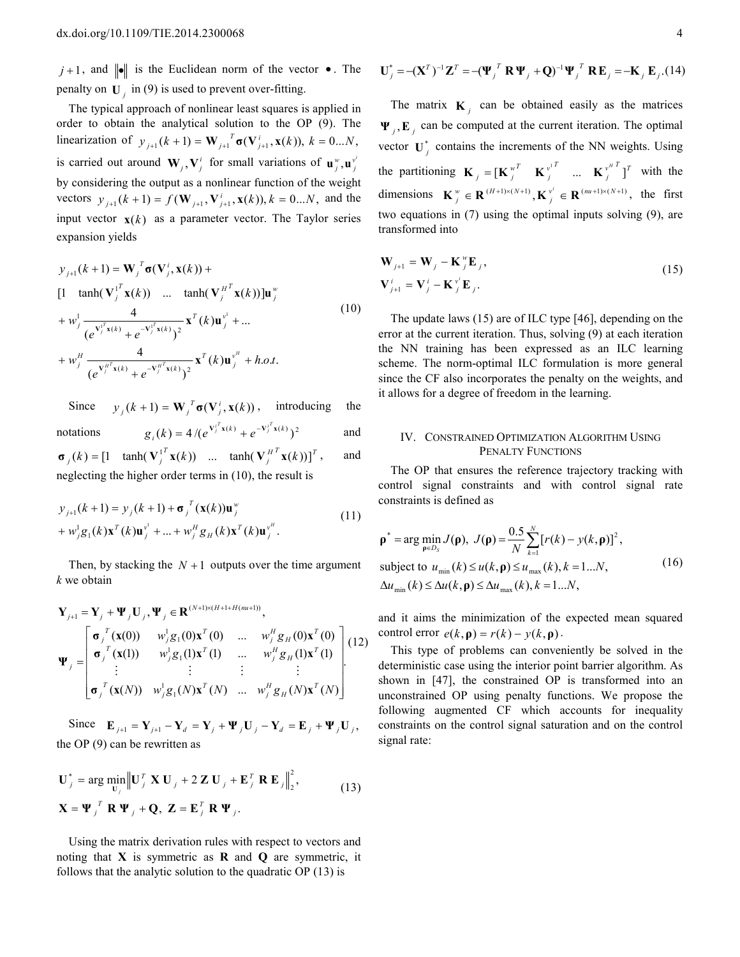$j+1$ , and  $\|\bullet\|$  is the Euclidean norm of the vector  $\bullet$ . The penalty on  $U_j$  in (9) is used to prevent over-fitting.

The typical approach of nonlinear least squares is applied in order to obtain the analytical solution to the OP (9). The linearization of  $y_{j+1} (k+1) = \mathbf{W}_{j+1}^T \sigma(\mathbf{V}_{j+1}^i, \mathbf{x}(k)), k = 0...N$ , is carried out around  $W_j$ ,  $V_j^i$  for small variations of  $\mathbf{u}_j^w$ ,  $\mathbf{u}_j^v$ by considering the output as a nonlinear function of the weight vectors  $y_{j+1} (k+1) = f(\mathbf{W}_{j+1}, \mathbf{V}_{j+1}^i, \mathbf{x}(k)), k = 0...N$ , and the input vector  $\mathbf{x}(k)$  as a parameter vector. The Taylor series expansion yields

$$
y_{j+1}(k+1) = \mathbf{W}_{j}^{T} \sigma(\mathbf{V}_{j}^{i}, \mathbf{x}(k)) +
$$
  
\n[1  $\tanh(\mathbf{V}_{j}^{1T} \mathbf{x}(k)) \dots \tanh(\mathbf{V}_{j}^{H^{T}} \mathbf{x}(k))]\mathbf{u}_{j}^{w}$   
\n+  $w_{j}^{1} \frac{4}{(e^{\mathbf{V}_{j}^{1T} \mathbf{x}(k)} + e^{-\mathbf{V}_{j}^{1T} \mathbf{x}(k)})^{2}} \mathbf{x}^{T}(k) \mathbf{u}_{j}^{v^{1}} + ...$   
\n+  $w_{j}^{H} \frac{4}{(e^{\mathbf{V}_{j}^{H^{T} \mathbf{x}(k)} + e^{-\mathbf{V}_{j}^{H^{T} \mathbf{x}(k)}})^{2}} \mathbf{x}^{T}(k) \mathbf{u}_{j}^{v^{H}} + h.o.t.$  (10)

Since  $y_j(k+1) = \mathbf{W}_j^T \sigma(\mathbf{V}_j^i, \mathbf{x}(k))$ , introducing the notations  $g_i(k) = 4/(e^{V_i^T x(k)} + e^{-V_i^T x(k)})^2$ *i*  $g_i(k) = 4/(e^{\mathbf{V}_j^i \mathbf{x}(k)} + e^{-\mathbf{V}_j^i \mathbf{x}(k)})^2$  and  $\int_{i}^{H^T}$ **x**(k))]<sup>T</sup> *T*  $\sigma_j(k) = \begin{bmatrix} 1 & \tanh(\mathbf{V}_j^{1'}\mathbf{x}(k)) & \dots & \tanh(\mathbf{V}_j^{H'}\mathbf{x}(k)) \end{bmatrix}^T$ , and neglecting the higher order terms in (10), the result is

$$
y_{j+1}(k+1) = y_j(k+1) + \sigma_j^T(\mathbf{x}(k))\mathbf{u}_j^w
$$
  
+  $w_j^1 g_1(k) \mathbf{x}^T(k) \mathbf{u}_j^{v^1} + ... + w_j^H g_H(k) \mathbf{x}^T(k) \mathbf{u}_j^{v^H}$ . (11)

Then, by stacking the  $N + 1$  outputs over the time argument *k* we obtain

$$
\mathbf{Y}_{j+1} = \mathbf{Y}_{j} + \mathbf{\Psi}_{j} \mathbf{U}_{j}, \mathbf{\Psi}_{j} \in \mathbf{R}^{(N+1)\times(H+1+H(m+1))},
$$
\n
$$
\mathbf{\Psi}_{j} = \begin{bmatrix}\n\mathbf{\sigma}_{j}^{T}(\mathbf{x}(0)) & w_{j}^{1}g_{1}(0)\mathbf{x}^{T}(0) & \dots & w_{j}^{H}g_{H}(0)\mathbf{x}^{T}(0) \\
\mathbf{\sigma}_{j}^{T}(\mathbf{x}(1)) & w_{j}^{1}g_{1}(1)\mathbf{x}^{T}(1) & \dots & w_{j}^{H}g_{H}(1)\mathbf{x}^{T}(1) \\
\vdots & \vdots & \vdots & \vdots \\
\mathbf{\sigma}_{j}^{T}(\mathbf{x}(N)) & w_{j}^{1}g_{1}(N)\mathbf{x}^{T}(N) & \dots & w_{j}^{H}g_{H}(N)\mathbf{x}^{T}(N)\n\end{bmatrix} (12)
$$

Since  $\mathbf{E}_{j+1} = \mathbf{Y}_{j+1} - \mathbf{Y}_d = \mathbf{Y}_j + \mathbf{\Psi}_j \mathbf{U}_j - \mathbf{Y}_d = \mathbf{E}_j + \mathbf{\Psi}_j \mathbf{U}_j$ the OP (9) can be rewritten as

$$
\mathbf{U}_{j}^{*} = \arg \min_{\mathbf{U}_{j}} \left\| \mathbf{U}_{j}^{T} \mathbf{X} \mathbf{U}_{j} + 2 \mathbf{Z} \mathbf{U}_{j} + \mathbf{E}_{j}^{T} \mathbf{R} \mathbf{E}_{j} \right\|_{2}^{2},
$$
\n
$$
\mathbf{X} = \mathbf{\Psi}_{j}^{T} \mathbf{R} \mathbf{\Psi}_{j} + \mathbf{Q}, \mathbf{Z} = \mathbf{E}_{j}^{T} \mathbf{R} \mathbf{\Psi}_{j}.
$$
\n(13)

Using the matrix derivation rules with respect to vectors and noting that **X** is symmetric as **R** and **Q** are symmetric, it follows that the analytic solution to the quadratic OP (13) is

$$
U_j^* = -(X^T)^{-1}Z^T = -(\Psi_j^T R \Psi_j + Q)^{-1} \Psi_j^T R E_j = -K_j E_j.(14)
$$

The matrix  $\mathbf{K}_j$  can be obtained easily as the matrices  $\Psi_j$ ,  $\mathbf{E}_j$  can be computed at the current iteration. The optimal vector  $\mathbf{U}_{j}^{*}$  contains the increments of the NN weights. Using the partitioning  $\mathbf{K}_j = [\mathbf{K}_j^{w^T} \quad \mathbf{K}_j^{v^T}]^T$  ...  $\mathbf{K}_j^{v^H}$  $T_{j} = \begin{bmatrix} \mathbf{K}^{w^{T}}_{j} & \mathbf{K}^{v^{T}}_{j} \end{bmatrix}^{T}$  $\mathbf{K}_i = [\mathbf{K}_i^{\mathbf{w}^T} \quad \mathbf{K}_i^{\mathbf{v}^T}]$  ...  $\mathbf{K}_i^{\mathbf{w}^H}$  of  $\mathbf{K}_i^{\mathbf{w}^H}$ dimensions  $\mathbf{K}^w_j \in \mathbf{R}^{(H+1)\times(N+1)}, \mathbf{K}^{v'}_j \in \mathbf{R}^{(nu+1)\times(N+1)}$  $\mathbf{K}^w_i \in \mathbf{R}^{(H+1)\times(N+1)}, \mathbf{K}^{v^i} \in \mathbf{R}^{(mu+1)\times(N+1)},$  the first two equations in (7) using the optimal inputs solving (9), are transformed into

$$
\mathbf{W}_{j+1} = \mathbf{W}_j - \mathbf{K}_j^{\nu} \mathbf{E}_j, \n\mathbf{V}_{j+1}^i = \mathbf{V}_j^i - \mathbf{K}_j^{\nu^i} \mathbf{E}_j.
$$
\n(15)

The update laws (15) are of ILC type [46], depending on the error at the current iteration. Thus, solving (9) at each iteration the NN training has been expressed as an ILC learning scheme. The norm-optimal ILC formulation is more general since the CF also incorporates the penalty on the weights, and it allows for a degree of freedom in the learning.

## IV. CONSTRAINED OPTIMIZATION ALGORITHM USING PENALTY FUNCTIONS

The OP that ensures the reference trajectory tracking with control signal constraints and with control signal rate constraints is defined as

$$
\mathbf{p}^* = \arg \min_{\mathbf{p} \in D_S} J(\mathbf{p}), \ J(\mathbf{p}) = \frac{0.5}{N} \sum_{k=1}^{N} [r(k) - y(k, \mathbf{p})]^2,
$$
  
subject to  $u_{\min}(k) \le u(k, \mathbf{p}) \le u_{\max}(k), k = 1...N,$   
 $\Delta u_{\min}(k) \le \Delta u(k, \mathbf{p}) \le \Delta u_{\max}(k), k = 1...N,$  (16)

and it aims the minimization of the expected mean squared control error  $e(k, \mathbf{p}) = r(k) - y(k, \mathbf{p})$ .

This type of problems can conveniently be solved in the deterministic case using the interior point barrier algorithm. As shown in [47], the constrained OP is transformed into an unconstrained OP using penalty functions. We propose the following augmented CF which accounts for inequality constraints on the control signal saturation and on the control signal rate: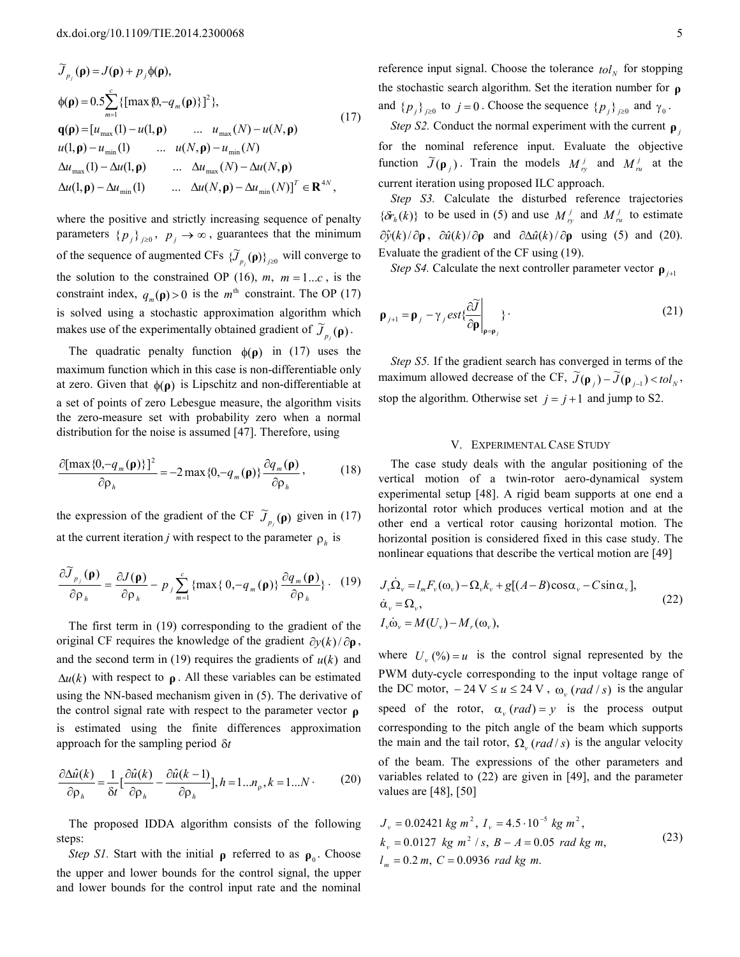$$
\widetilde{J}_{p_j}(\mathbf{p}) = J(\mathbf{p}) + p_j \phi(\mathbf{p}),
$$
\n
$$
\phi(\mathbf{p}) = 0.5 \sum_{m=1}^{c} \{ [\max \{0, -q_m(\mathbf{p})\}]^2 \},
$$
\n
$$
\mathbf{q}(\mathbf{p}) = [u_{\max}(1) - u(1, \mathbf{p}) \quad \dots \quad u_{\max}(N) - u(N, \mathbf{p})
$$
\n
$$
u(1, \mathbf{p}) - u_{\min}(1) \quad \dots \quad u(N, \mathbf{p}) - u_{\min}(N)
$$
\n
$$
\Delta u_{\max}(1) - \Delta u(1, \mathbf{p}) \quad \dots \quad \Delta u_{\max}(N) - \Delta u(N, \mathbf{p})
$$
\n
$$
\Delta u(1, \mathbf{p}) - \Delta u_{\min}(1) \quad \dots \quad \Delta u(N, \mathbf{p}) - \Delta u_{\min}(N) ]^T \in \mathbf{R}^{4N},
$$
\n(11)

where the positive and strictly increasing sequence of penalty parameters  $\{p_j\}_{j\geq 0}$ ,  $p_j \to \infty$ , guarantees that the minimum of the sequence of augmented CFs  $\{\widetilde{J}_{p_j}(\mathbf{p})\}_{j\geq 0}$  will converge to the solution to the constrained OP (16),  $m$ ,  $m = 1...c$ , is the constraint index,  $q_m(\mathbf{p}) > 0$  is the  $m^{\text{th}}$  constraint. The OP (17) is solved using a stochastic approximation algorithm which makes use of the experimentally obtained gradient of  $\widetilde{J}_{p_i}(\mathbf{p})$ .

The quadratic penalty function  $\phi(\rho)$  in (17) uses the maximum function which in this case is non-differentiable only at zero. Given that  $\phi(\rho)$  is Lipschitz and non-differentiable at a set of points of zero Lebesgue measure, the algorithm visits the zero-measure set with probability zero when a normal distribution for the noise is assumed [47]. Therefore, using

$$
\frac{\partial [\max\{0, -q_m(\mathbf{p})\}]^2}{\partial \rho_h} = -2 \max\{0, -q_m(\mathbf{p})\} \frac{\partial q_m(\mathbf{p})}{\partial \rho_h},
$$
(18)

the expression of the gradient of the CF  $\widetilde{J}_{p_j}(\mathbf{\rho})$  given in (17) at the current iteration *j* with respect to the parameter  $\rho_h$  is

$$
\frac{\partial \widetilde{J}_{p_j}(\mathbf{\rho})}{\partial \rho_h} = \frac{\partial J(\mathbf{\rho})}{\partial \rho_h} - p_j \sum_{m=1}^c \{ \max\{0, -q_m(\mathbf{\rho})\} \frac{\partial q_m(\mathbf{\rho})}{\partial \rho_h} \} .
$$
 (19)

The first term in (19) corresponding to the gradient of the original CF requires the knowledge of the gradient  $\partial y(k)/\partial \rho$ , and the second term in (19) requires the gradients of  $u(k)$  and  $\Delta u(k)$  with respect to  $\rho$ . All these variables can be estimated using the NN-based mechanism given in (5). The derivative of the control signal rate with respect to the parameter vector **ρ** is estimated using the finite differences approximation approach for the sampling period δ*t*

$$
\frac{\partial \Delta \hat{u}(k)}{\partial \rho_h} = \frac{1}{\delta t} \left[ \frac{\partial \hat{u}(k)}{\partial \rho_h} - \frac{\partial \hat{u}(k-1)}{\partial \rho_h} \right], h = 1...n_p, k = 1...N. \tag{20}
$$

The proposed IDDA algorithm consists of the following steps:

*Step S1*. Start with the initial  $\rho$  referred to as  $\rho_0$ . Choose the upper and lower bounds for the control signal, the upper and lower bounds for the control input rate and the nominal

reference input signal. Choose the tolerance  $tol<sub>N</sub>$  for stopping the stochastic search algorithm. Set the iteration number for **ρ** and  $\{p_j\}_{j\geq 0}$  to  $j = 0$ . Choose the sequence  $\{p_j\}_{j\geq 0}$  and  $\gamma_0$ .

*Step S2.* Conduct the normal experiment with the current **ρ** *<sup>j</sup>* for the nominal reference input. Evaluate the objective function  $\widetilde{J}(\mathbf{p}_j)$ . Train the models  $M_{r_y}^j$  and  $M_{r_u}^j$  at the current iteration using proposed ILC approach.

*Step S3.* Calculate the disturbed reference trajectories  ${\delta r_h(k)}$  to be used in (5) and use  $M_{ry}^j$  and  $M_{ru}^j$  to estimate  $\partial \hat{y}(k)/\partial \rho$ ,  $\partial \hat{u}(k)/\partial \rho$  and  $\partial \Delta \hat{u}(k)/\partial \rho$  using (5) and (20). Evaluate the gradient of the CF using (19).

*Step S4.* Calculate the next controller parameter vector **ρ**<sub>*i*+1</sub>

$$
\mathbf{p}_{j+1} = \mathbf{p}_j - \gamma_j \, \text{est} \{ \frac{\partial \widetilde{J}}{\partial \mathbf{p}} \bigg|_{\mathbf{p} = \mathbf{p}_j} \} \, . \tag{21}
$$

*Step S5.* If the gradient search has converged in terms of the maximum allowed decrease of the CF,  $\widetilde{J}(\mathbf{p}_j) - \widetilde{J}(\mathbf{p}_{j-1}) < tol_N$ , stop the algorithm. Otherwise set  $j = j + 1$  and jump to S2.

### V. EXPERIMENTAL CASE STUDY

The case study deals with the angular positioning of the vertical motion of a twin-rotor aero-dynamical system experimental setup [48]. A rigid beam supports at one end a horizontal rotor which produces vertical motion and at the other end a vertical rotor causing horizontal motion. The horizontal position is considered fixed in this case study. The nonlinear equations that describe the vertical motion are [49]

$$
J_{\nu}\dot{\Omega}_{\nu} = l_{m}F_{\nu}(\omega_{\nu}) - \Omega_{\nu}k_{\nu} + g[(A-B)\cos\alpha_{\nu} - C\sin\alpha_{\nu}],
$$
  
\n
$$
\dot{\alpha}_{\nu} = \Omega_{\nu},
$$
  
\n
$$
I_{\nu}\dot{\omega}_{\nu} = M(U_{\nu}) - M_{\nu}(\omega_{\nu}),
$$
\n(22)

where  $U_{\nu}(0) = u$  is the control signal represented by the PWM duty-cycle corresponding to the input voltage range of the DC motor,  $-24 \text{ V} \le u \le 24 \text{ V}$ ,  $\omega_v \text{ (rad / s)}$  is the angular speed of the rotor,  $\alpha_v$  (*rad*) = y is the process output corresponding to the pitch angle of the beam which supports the main and the tail rotor,  $\Omega_{\nu}$  (*rad* /*s*) is the angular velocity of the beam. The expressions of the other parameters and variables related to (22) are given in [49], and the parameter values are [48], [50]

$$
J_v = 0.02421 \text{ kg } m^2, I_v = 4.5 \cdot 10^{-5} \text{ kg } m^2,
$$
  
\n
$$
k_v = 0.0127 \text{ kg } m^2 / s, B - A = 0.05 \text{ rad } \text{kg } m,
$$
  
\n
$$
l_m = 0.2 \text{ m}, C = 0.0936 \text{ rad } \text{kg } m.
$$
\n(23)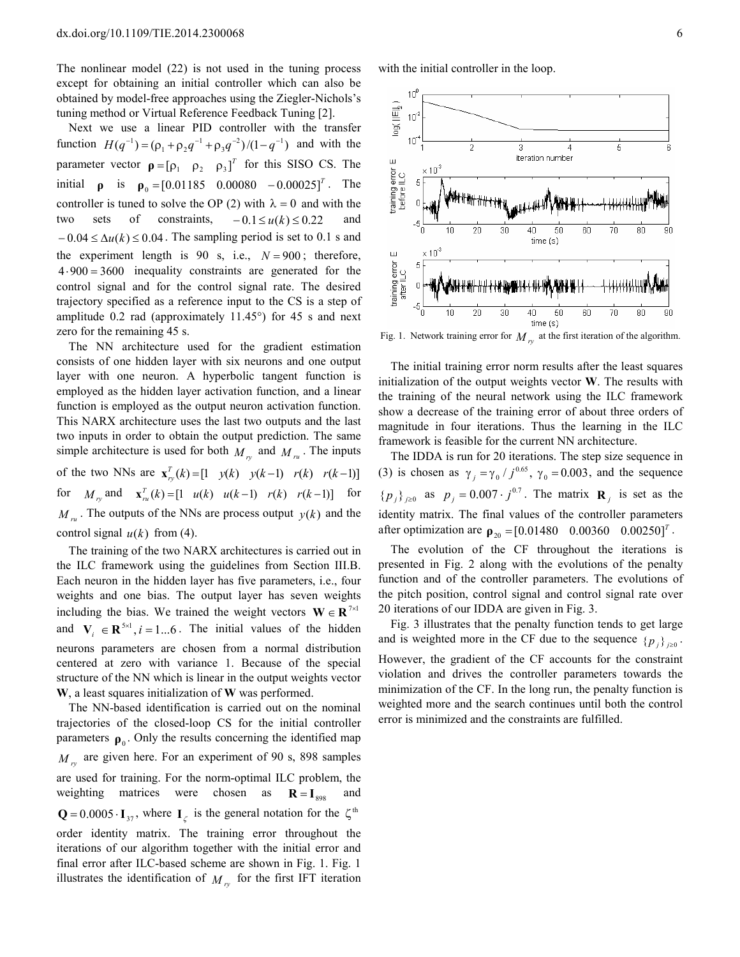The nonlinear model (22) is not used in the tuning process except for obtaining an initial controller which can also be obtained by model-free approaches using the Ziegler-Nichols's tuning method or Virtual Reference Feedback Tuning [2].

Next we use a linear PID controller with the transfer function  $H(q^{-1}) = (\rho_1 + \rho_2 q^{-1} + \rho_3 q^{-2})/(1 - q^{-1})$  and with the parameter vector  $\rho = [\rho_1 \quad \rho_2 \quad \rho_3]^T$  for this SISO CS. The initial **ρ** is  $\rho_0 = [0.01185 \quad 0.00080 \quad -0.00025]^T$ . The controller is tuned to solve the OP (2) with  $\lambda = 0$  and with the two sets of constraints,  $-0.1 \le u(k) \le 0.22$  and  $-0.04 \le \Delta u(k) \le 0.04$ . The sampling period is set to 0.1 s and the experiment length is 90 s, i.e.,  $N = 900$ ; therefore, 4⋅900 = 3600 inequality constraints are generated for the control signal and for the control signal rate. The desired trajectory specified as a reference input to the CS is a step of amplitude 0.2 rad (approximately 11.45°) for 45 s and next zero for the remaining 45 s.

The NN architecture used for the gradient estimation consists of one hidden layer with six neurons and one output layer with one neuron. A hyperbolic tangent function is employed as the hidden layer activation function, and a linear function is employed as the output neuron activation function. This NARX architecture uses the last two outputs and the last two inputs in order to obtain the output prediction. The same simple architecture is used for both  $M_{r_y}$  and  $M_{r_u}$ . The inputs of the two NNs are  $\mathbf{x}_{ry}^T(k) = [1 \ y(k) \ y(k-1) \ r(k) \ r(k-1)]$ for  $M_{r_y}$  and  $\mathbf{x}_{ru}^T(k) = [1 \quad u(k) \quad u(k-1) \quad r(k) \quad r(k-1)]$  for  $M_{ru}$ . The outputs of the NNs are process output  $y(k)$  and the control signal  $u(k)$  from (4).

The training of the two NARX architectures is carried out in the ILC framework using the guidelines from Section III.B. Each neuron in the hidden layer has five parameters, i.e., four weights and one bias. The output layer has seven weights including the bias. We trained the weight vectors  $\mathbf{W} \in \mathbb{R}^{7 \times 1}$ and  $V_i \in \mathbb{R}^{5 \times 1}$ ,  $i = 1...6$ . The initial values of the hidden neurons parameters are chosen from a normal distribution centered at zero with variance 1. Because of the special structure of the NN which is linear in the output weights vector **W**, a least squares initialization of **W** was performed.

The NN-based identification is carried out on the nominal trajectories of the closed-loop CS for the initial controller parameters  $\rho_0$ . Only the results concerning the identified map  $M_{r_y}$  are given here. For an experiment of 90 s, 898 samples are used for training. For the norm-optimal ILC problem, the weighting matrices were chosen as  $\mathbf{R} = \mathbf{I}_{\text{SOS}}$  and  $Q = 0.0005 \cdot I_{37}$ , where  $I_{\zeta}$  is the general notation for the  $\zeta^{\text{th}}$ order identity matrix. The training error throughout the iterations of our algorithm together with the initial error and final error after ILC-based scheme are shown in Fig. 1. Fig. 1 illustrates the identification of  $M_{r_y}$  for the first IFT iteration with the initial controller in the loop.



Fig. 1. Network training error for  $M_{r_y}$  at the first iteration of the algorithm.

The initial training error norm results after the least squares initialization of the output weights vector **W**. The results with the training of the neural network using the ILC framework show a decrease of the training error of about three orders of magnitude in four iterations. Thus the learning in the ILC framework is feasible for the current NN architecture.

The IDDA is run for 20 iterations. The step size sequence in (3) is chosen as  $\gamma_j = \gamma_0 / j^{0.65}$ ,  $\gamma_0 = 0.003$ , and the sequence  $\{p_j\}_{j\geq0}$  as  $p_j = 0.007 \cdot j^{0.7}$ . The matrix  $\mathbf{R}_j$  is set as the identity matrix. The final values of the controller parameters after optimization are  $\rho_{20} = [0.01480 \quad 0.00360 \quad 0.00250]^T$ .

The evolution of the CF throughout the iterations is presented in Fig. 2 along with the evolutions of the penalty function and of the controller parameters. The evolutions of the pitch position, control signal and control signal rate over 20 iterations of our IDDA are given in Fig. 3.

Fig. 3 illustrates that the penalty function tends to get large and is weighted more in the CF due to the sequence  $\{p_j\}_{j\geq 0}$ . However, the gradient of the CF accounts for the constraint violation and drives the controller parameters towards the minimization of the CF. In the long run, the penalty function is weighted more and the search continues until both the control error is minimized and the constraints are fulfilled.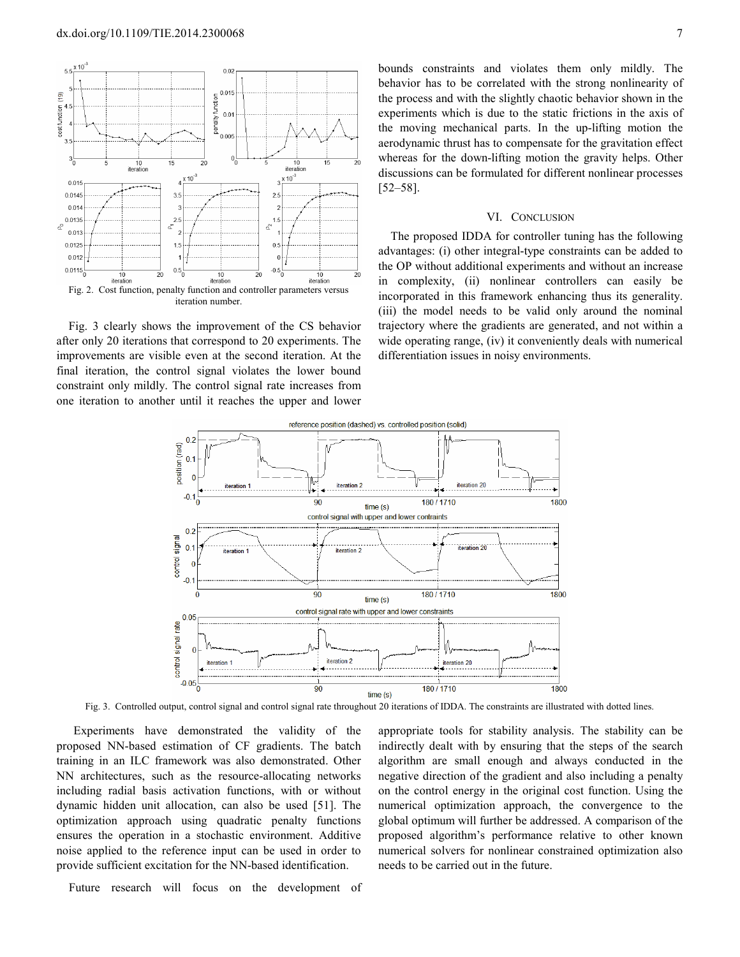

Fig. 3 clearly shows the improvement of the CS behavior after only 20 iterations that correspond to 20 experiments. The improvements are visible even at the second iteration. At the final iteration, the control signal violates the lower bound constraint only mildly. The control signal rate increases from one iteration to another until it reaches the upper and lower

bounds constraints and violates them only mildly. The behavior has to be correlated with the strong nonlinearity of the process and with the slightly chaotic behavior shown in the experiments which is due to the static frictions in the axis of the moving mechanical parts. In the up-lifting motion the aerodynamic thrust has to compensate for the gravitation effect whereas for the down-lifting motion the gravity helps. Other discussions can be formulated for different nonlinear processes [52–58].

#### VI. CONCLUSION

The proposed IDDA for controller tuning has the following advantages: (i) other integral-type constraints can be added to the OP without additional experiments and without an increase in complexity, (ii) nonlinear controllers can easily be incorporated in this framework enhancing thus its generality. (iii) the model needs to be valid only around the nominal trajectory where the gradients are generated, and not within a wide operating range, *(iv)* it conveniently deals with numerical differentiation issues in noisy environments.



Fig. 3. Controlled output, control signal and control signal rate throughout 20 iterations of IDDA. The constraints are illustrated with dotted lines.

Experiments have demonstrated the validity of the proposed NN-based estimation of CF gradients. The batch training in an ILC framework was also demonstrated. Other NN architectures, such as the resource-allocating networks including radial basis activation functions, with or without dynamic hidden unit allocation, can also be used [51]. The optimization approach using quadratic penalty functions ensures the operation in a stochastic environment. Additive noise applied to the reference input can be used in order to provide sufficient excitation for the NN-based identification.

Future research will focus on the development of

appropriate tools for stability analysis. The stability can be indirectly dealt with by ensuring that the steps of the search algorithm are small enough and always conducted in the negative direction of the gradient and also including a penalty on the control energy in the original cost function. Using the numerical optimization approach, the convergence to the global optimum will further be addressed. A comparison of the proposed algorithm's performance relative to other known numerical solvers for nonlinear constrained optimization also needs to be carried out in the future.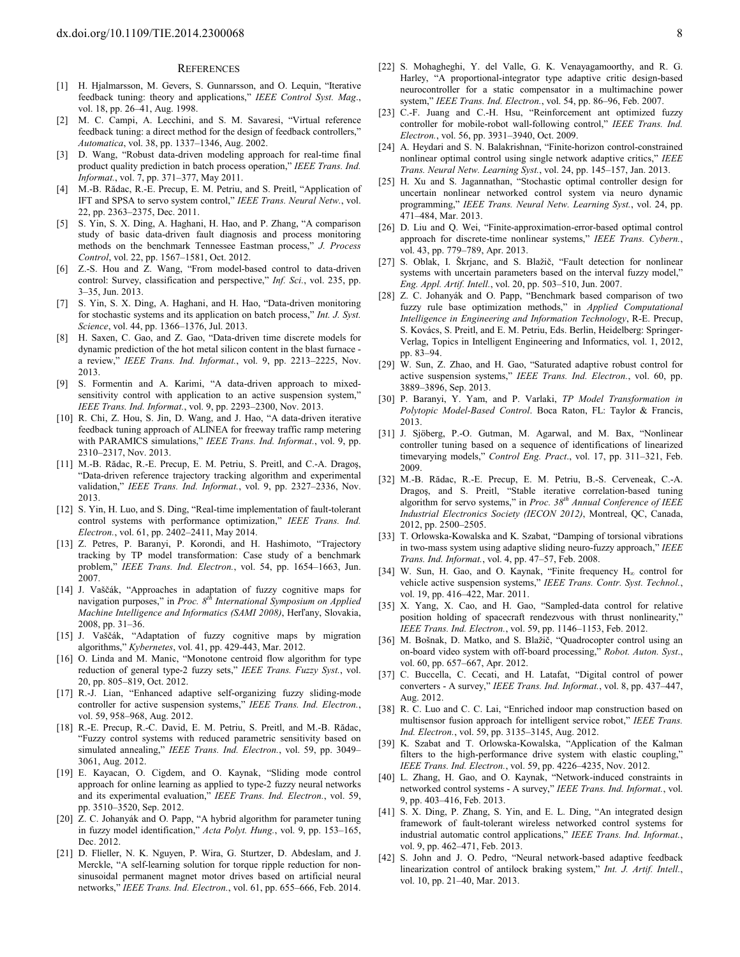#### **REFERENCES**

- [1] H. Hjalmarsson, M. Gevers, S. Gunnarsson, and O. Lequin, "Iterative feedback tuning: theory and applications," *IEEE Control Syst. Mag*., vol. 18, pp. 26–41, Aug. 1998.
- [2] M. C. Campi, A. Lecchini, and S. M. Savaresi, "Virtual reference feedback tuning: a direct method for the design of feedback controllers," *Automatica*, vol. 38, pp. 1337–1346, Aug. 2002.
- [3] D. Wang, "Robust data-driven modeling approach for real-time final product quality prediction in batch process operation," *IEEE Trans. Ind. Informat.*, vol. 7, pp. 371–377, May 2011.
- [4] M.-B. Rădac, R.-E. Precup, E. M. Petriu, and S. Preitl, "Application of IFT and SPSA to servo system control," *IEEE Trans. Neural Netw.*, vol. 22, pp. 2363–2375, Dec. 2011.
- [5] S. Yin, S. X. Ding, A. Haghani, H. Hao, and P. Zhang, "A comparison study of basic data-driven fault diagnosis and process monitoring methods on the benchmark Tennessee Eastman process," *J. Process Control*, vol. 22, pp. 1567–1581, Oct. 2012.
- [6] Z.-S. Hou and Z. Wang, "From model-based control to data-driven control: Survey, classification and perspective," *Inf. Sci.*, vol. 235, pp. 3–35, Jun. 2013.
- [7] S. Yin, S. X. Ding, A. Haghani, and H. Hao, "Data-driven monitoring for stochastic systems and its application on batch process," *Int. J. Syst. Science*, vol. 44, pp. 1366–1376, Jul. 2013.
- H. Saxen, C. Gao, and Z. Gao, "Data-driven time discrete models for dynamic prediction of the hot metal silicon content in the blast furnace a review," *IEEE Trans. Ind. Informat.*, vol. 9, pp. 2213–2225, Nov. 2013.
- [9] S. Formentin and A. Karimi, "A data-driven approach to mixedsensitivity control with application to an active suspension system," *IEEE Trans. Ind. Informat.*, vol. 9, pp. 2293–2300, Nov. 2013.
- [10] R. Chi, Z. Hou, S. Jin, D. Wang, and J. Hao, "A data-driven iterative feedback tuning approach of ALINEA for freeway traffic ramp metering with PARAMICS simulations," *IEEE Trans. Ind. Informat.*, vol. 9, pp. 2310–2317, Nov. 2013.
- [11] M.-B. Rădac, R.-E. Precup, E. M. Petriu, S. Preitl, and C.-A. Dragos, "Data-driven reference trajectory tracking algorithm and experimental validation," *IEEE Trans. Ind. Informat.*, vol. 9, pp. 2327–2336, Nov. 2013.
- [12] S. Yin, H. Luo, and S. Ding, "Real-time implementation of fault-tolerant control systems with performance optimization," *IEEE Trans. Ind. Electron.*, vol. 61, pp. 2402–2411, May 2014.
- [13] Z. Petres, P. Baranyi, P. Korondi, and H. Hashimoto, "Trajectory tracking by TP model transformation: Case study of a benchmark problem," *IEEE Trans. Ind. Electron.*, vol. 54, pp. 1654–1663, Jun. 2007.
- [14] J. Vaščák, "Approaches in adaptation of fuzzy cognitive maps for navigation purposes," in *Proc. 8th International Symposium on Applied Machine Intelligence and Informatics (SAMI 2008)*, Herľany, Slovakia, 2008, pp. 31–36.
- [15] J. Vaščák, "Adaptation of fuzzy cognitive maps by migration algorithms," *Kybernetes*, vol. 41, pp. 429-443, Mar. 2012.
- [16] O. Linda and M. Manic, "Monotone centroid flow algorithm for type reduction of general type-2 fuzzy sets," *IEEE Trans. Fuzzy Syst.*, vol. 20, pp. 805–819, Oct. 2012.
- [17] R.-J. Lian, "Enhanced adaptive self-organizing fuzzy sliding-mode controller for active suspension systems," *IEEE Trans. Ind. Electron.*, vol. 59, 958–968, Aug. 2012.
- [18] R.-E. Precup, R.-C. David, E. M. Petriu, S. Preitl, and M.-B. Rădac, "Fuzzy control systems with reduced parametric sensitivity based on simulated annealing," *IEEE Trans. Ind. Electron.*, vol. 59, pp. 3049– 3061, Aug. 2012.
- [19] E. Kayacan, O. Cigdem, and O. Kaynak, "Sliding mode control approach for online learning as applied to type-2 fuzzy neural networks and its experimental evaluation," *IEEE Trans. Ind. Electron.*, vol. 59, pp. 3510–3520, Sep. 2012.
- [20] Z. C. Johanyák and O. Papp, "A hybrid algorithm for parameter tuning in fuzzy model identification," *Acta Polyt. Hung.*, vol. 9, pp. 153–165, Dec. 2012.
- [21] D. Flieller, N. K. Nguyen, P. Wira, G. Sturtzer, D. Abdeslam, and J. Merckle, "A self-learning solution for torque ripple reduction for nonsinusoidal permanent magnet motor drives based on artificial neural networks," *IEEE Trans. Ind. Electron.*, vol. 61, pp. 655–666, Feb. 2014.
- [22] S. Mohagheghi, Y. del Valle, G. K. Venayagamoorthy, and R. G. Harley, "A proportional-integrator type adaptive critic design-based neurocontroller for a static compensator in a multimachine power system," *IEEE Trans. Ind. Electron.*, vol. 54, pp. 86–96, Feb. 2007.
- [23] C.-F. Juang and C.-H. Hsu, "Reinforcement ant optimized fuzzy controller for mobile-robot wall-following control," IEEE Trans. Ind. *Electron.*, vol. 56, pp. 3931–3940, Oct. 2009.
- [24] A. Heydari and S. N. Balakrishnan, "Finite-horizon control-constrained nonlinear optimal control using single network adaptive critics," *IEEE Trans. Neural Netw. Learning Syst.*, vol. 24, pp. 145–157, Jan. 2013.
- [25] H. Xu and S. Jagannathan, "Stochastic optimal controller design for uncertain nonlinear networked control system via neuro dynamic programming," *IEEE Trans. Neural Netw. Learning Syst.*, vol. 24, pp. 471–484, Mar. 2013.
- [26] D. Liu and Q. Wei, "Finite-approximation-error-based optimal control approach for discrete-time nonlinear systems," *IEEE Trans. Cybern.*, vol. 43, pp. 779–789, Apr. 2013.
- [27] S. Oblak, I. Škrjanc, and S. Blažič, "Fault detection for nonlinear systems with uncertain parameters based on the interval fuzzy model," *Eng. Appl. Artif. Intell.*, vol. 20, pp. 503–510, Jun. 2007.
- [28] Z. C. Johanyák and O. Papp, "Benchmark based comparison of two fuzzy rule base optimization methods," in *Applied Computational Intelligence in Engineering and Information Technology*, R-E. Precup, S. Kovács, S. Preitl, and E. M. Petriu, Eds. Berlin, Heidelberg: Springer-Verlag, Topics in Intelligent Engineering and Informatics, vol. 1, 2012, pp. 83–94.
- [29] W. Sun, Z. Zhao, and H. Gao, "Saturated adaptive robust control for active suspension systems," *IEEE Trans. Ind. Electron.*, vol. 60, pp. 3889–3896, Sep. 2013.
- [30] P. Baranyi, Y. Yam, and P. Varlaki, *TP Model Transformation in Polytopic Model-Based Control*. Boca Raton, FL: Taylor & Francis, 2013.
- [31] J. Sjöberg, P.-O. Gutman, M. Agarwal, and M. Bax, "Nonlinear controller tuning based on a sequence of identifications of linearized timevarying models," *Control Eng. Pract*., vol. 17, pp. 311–321, Feb. 2009.
- [32] M.-B. Rădac, R.-E. Precup, E. M. Petriu, B.-S. Cerveneak, C.-A. Dragoş, and S. Preitl, "Stable iterative correlation-based tuning algorithm for servo systems," in *Proc. 38th Annual Conference of IEEE Industrial Electronics Society (IECON 2012)*, Montreal, QC, Canada, 2012, pp. 2500–2505.
- [33] T. Orlowska-Kowalska and K. Szabat, "Damping of torsional vibrations in two-mass system using adaptive sliding neuro-fuzzy approach," *IEEE Trans. Ind. Informat.*, vol. 4, pp. 47–57, Feb. 2008.
- [34] W. Sun, H. Gao, and O. Kaynak, "Finite frequency H∞ control for vehicle active suspension systems," *IEEE Trans. Contr. Syst. Technol.*, vol. 19, pp. 416–422, Mar. 2011.
- [35] X. Yang, X. Cao, and H. Gao, "Sampled-data control for relative position holding of spacecraft rendezvous with thrust nonlinearity," *IEEE Trans. Ind. Electron.*, vol. 59, pp. 1146–1153, Feb. 2012.
- [36] M. Bošnak, D. Matko, and S. Blažič, "Quadrocopter control using an on-board video system with off-board processing," *Robot. Auton. Syst*., vol. 60, pp. 657–667, Apr. 2012.
- [37] C. Buccella, C. Cecati, and H. Latafat, "Digital control of power converters - A survey," *IEEE Trans. Ind. Informat.*, vol. 8, pp. 437–447, Aug. 2012.
- [38] R. C. Luo and C. C. Lai, "Enriched indoor map construction based on multisensor fusion approach for intelligent service robot," *IEEE Trans. Ind. Electron.*, vol. 59, pp. 3135–3145, Aug. 2012.
- [39] K. Szabat and T. Orlowska-Kowalska, "Application of the Kalman filters to the high-performance drive system with elastic coupling," *IEEE Trans. Ind. Electron.*, vol. 59, pp. 4226–4235, Nov. 2012.
- [40] L. Zhang, H. Gao, and O. Kaynak, "Network-induced constraints in networked control systems - A survey," *IEEE Trans. Ind. Informat.*, vol. 9, pp. 403–416, Feb. 2013.
- [41] S. X. Ding, P. Zhang, S. Yin, and E. L. Ding, "An integrated design framework of fault-tolerant wireless networked control systems for industrial automatic control applications," *IEEE Trans. Ind. Informat.*, vol. 9, pp. 462–471, Feb. 2013.
- [42] S. John and J. O. Pedro, "Neural network-based adaptive feedback linearization control of antilock braking system," *Int. J. Artif. Intell.*, vol. 10, pp. 21–40, Mar. 2013.